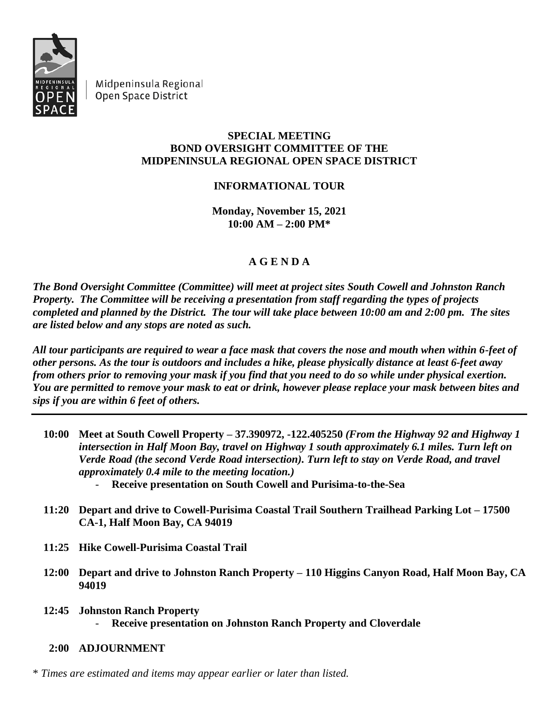

Midpeninsula Regional Open Space District

## **SPECIAL MEETING BOND OVERSIGHT COMMITTEE OF THE MIDPENINSULA REGIONAL OPEN SPACE DISTRICT**

## **INFORMATIONAL TOUR**

**Monday, November 15, 2021 10:00 AM – 2:00 PM\***

## **A G E N D A**

*The Bond Oversight Committee (Committee) will meet at project sites South Cowell and Johnston Ranch Property. The Committee will be receiving a presentation from staff regarding the types of projects completed and planned by the District. The tour will take place between 10:00 am and 2:00 pm. The sites are listed below and any stops are noted as such.*

*All tour participants are required to wear a face mask that covers the nose and mouth when within 6-feet of other persons. As the tour is outdoors and includes a hike, please physically distance at least 6-feet away from others prior to removing your mask if you find that you need to do so while under physical exertion. You are permitted to remove your mask to eat or drink, however please replace your mask between bites and sips if you are within 6 feet of others.*

- **10:00 Meet at South Cowell Property – 37.390972, -122.405250** *(From the Highway 92 and Highway 1 intersection in Half Moon Bay, travel on Highway 1 south approximately 6.1 miles. Turn left on Verde Road (the second Verde Road intersection). Turn left to stay on Verde Road, and travel approximately 0.4 mile to the meeting location.)* - **Receive presentation on South Cowell and Purisima-to-the-Sea**
- **11:20 Depart and drive to Cowell-Purisima Coastal Trail Southern Trailhead Parking Lot – 17500 CA-1, Half Moon Bay, CA 94019**
- **11:25 Hike Cowell-Purisima Coastal Trail**
- **12:00 Depart and drive to Johnston Ranch Property – 110 Higgins Canyon Road, Half Moon Bay, CA 94019**
- **12:45 Johnston Ranch Property** - **Receive presentation on Johnston Ranch Property and Cloverdale**
	- **2:00 ADJOURNMENT**

\* *Times are estimated and items may appear earlier or later than listed.*